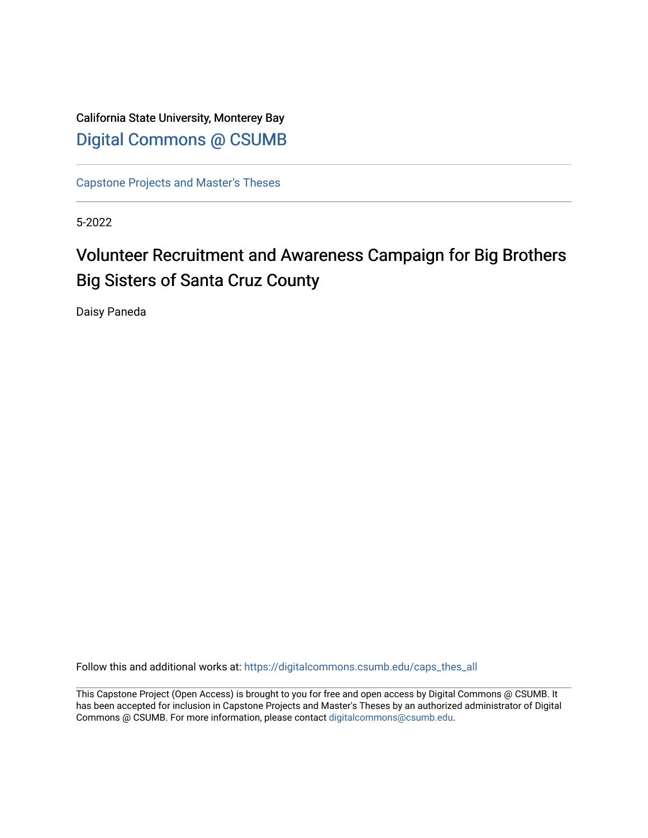California State University, Monterey Bay [Digital Commons @ CSUMB](https://digitalcommons.csumb.edu/)

[Capstone Projects and Master's Theses](https://digitalcommons.csumb.edu/caps_thes_all)

5-2022

# Volunteer Recruitment and Awareness Campaign for Big Brothers Big Sisters of Santa Cruz County

Daisy Paneda

Follow this and additional works at: [https://digitalcommons.csumb.edu/caps\\_thes\\_all](https://digitalcommons.csumb.edu/caps_thes_all?utm_source=digitalcommons.csumb.edu%2Fcaps_thes_all%2F1315&utm_medium=PDF&utm_campaign=PDFCoverPages)

This Capstone Project (Open Access) is brought to you for free and open access by Digital Commons @ CSUMB. It has been accepted for inclusion in Capstone Projects and Master's Theses by an authorized administrator of Digital Commons @ CSUMB. For more information, please contact [digitalcommons@csumb.edu](mailto:digitalcommons@csumb.edu).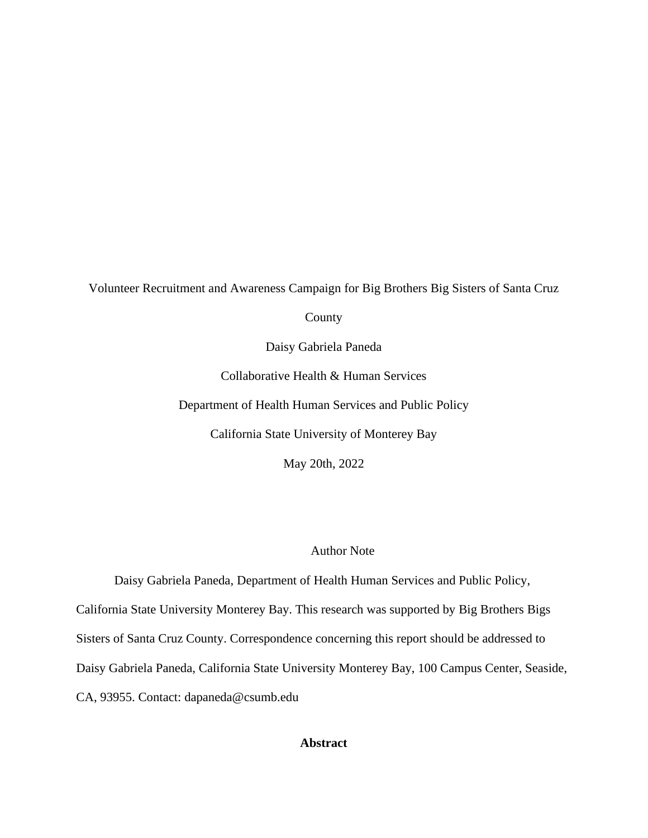### Volunteer Recruitment and Awareness Campaign for Big Brothers Big Sisters of Santa Cruz

County

Daisy Gabriela Paneda

Collaborative Health & Human Services

Department of Health Human Services and Public Policy

California State University of Monterey Bay

May 20th, 2022

### Author Note

Daisy Gabriela Paneda, Department of Health Human Services and Public Policy, California State University Monterey Bay. This research was supported by Big Brothers Bigs Sisters of Santa Cruz County. Correspondence concerning this report should be addressed to Daisy Gabriela Paneda, California State University Monterey Bay, 100 Campus Center, Seaside, CA, 93955. Contact: dapaneda@csumb.edu

# **Abstract**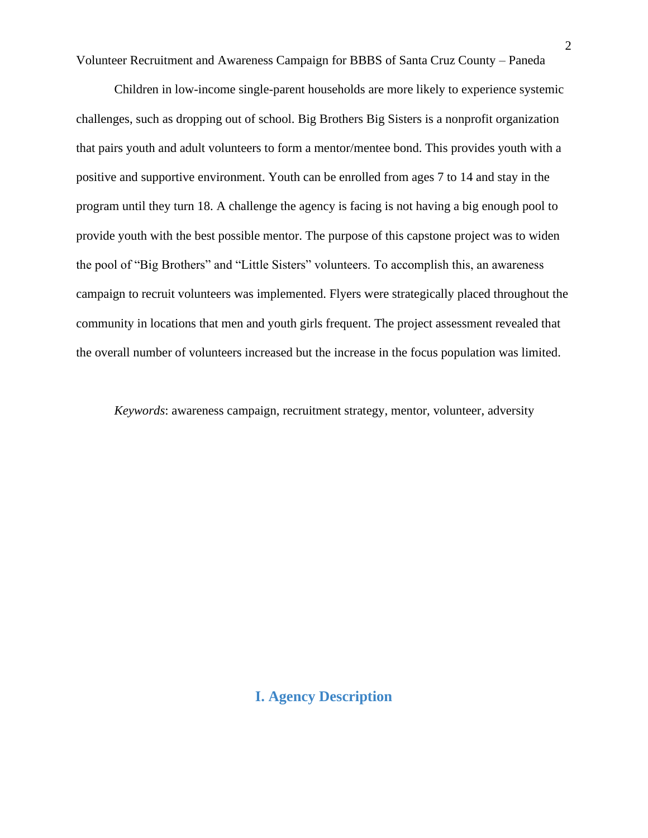Children in low-income single-parent households are more likely to experience systemic challenges, such as dropping out of school. Big Brothers Big Sisters is a nonprofit organization that pairs youth and adult volunteers to form a mentor/mentee bond. This provides youth with a positive and supportive environment. Youth can be enrolled from ages 7 to 14 and stay in the program until they turn 18. A challenge the agency is facing is not having a big enough pool to provide youth with the best possible mentor. The purpose of this capstone project was to widen the pool of "Big Brothers" and "Little Sisters" volunteers. To accomplish this, an awareness campaign to recruit volunteers was implemented. Flyers were strategically placed throughout the community in locations that men and youth girls frequent. The project assessment revealed that the overall number of volunteers increased but the increase in the focus population was limited.

*Keywords*: awareness campaign, recruitment strategy, mentor, volunteer, adversity

# **I. Agency Description**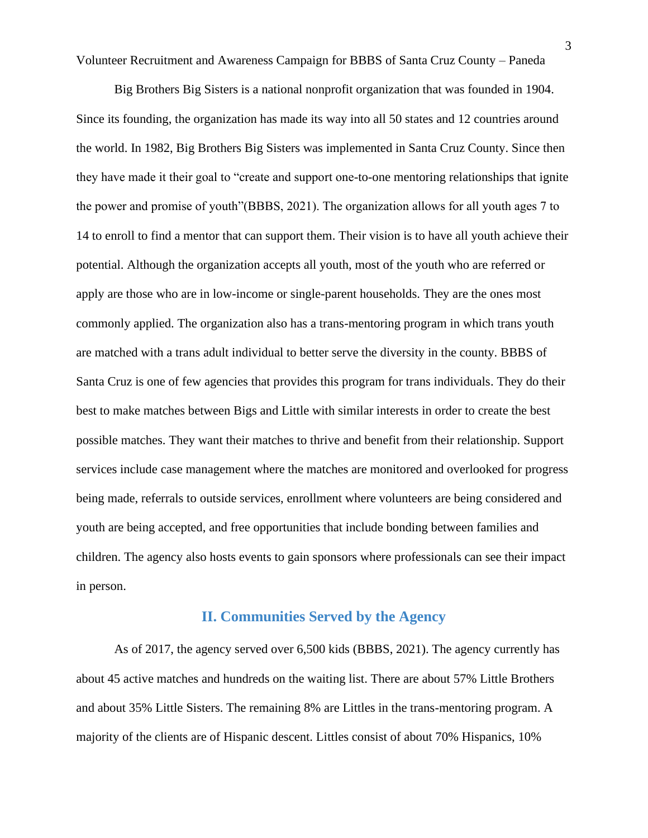Big Brothers Big Sisters is a national nonprofit organization that was founded in 1904. Since its founding, the organization has made its way into all 50 states and 12 countries around the world. In 1982, Big Brothers Big Sisters was implemented in Santa Cruz County. Since then they have made it their goal to "create and support one-to-one mentoring relationships that ignite the power and promise of youth"(BBBS, 2021). The organization allows for all youth ages 7 to 14 to enroll to find a mentor that can support them. Their vision is to have all youth achieve their potential. Although the organization accepts all youth, most of the youth who are referred or apply are those who are in low-income or single-parent households. They are the ones most commonly applied. The organization also has a trans-mentoring program in which trans youth are matched with a trans adult individual to better serve the diversity in the county. BBBS of Santa Cruz is one of few agencies that provides this program for trans individuals. They do their best to make matches between Bigs and Little with similar interests in order to create the best possible matches. They want their matches to thrive and benefit from their relationship. Support services include case management where the matches are monitored and overlooked for progress being made, referrals to outside services, enrollment where volunteers are being considered and youth are being accepted, and free opportunities that include bonding between families and children. The agency also hosts events to gain sponsors where professionals can see their impact in person.

# **II. Communities Served by the Agency**

As of 2017, the agency served over 6,500 kids (BBBS, 2021). The agency currently has about 45 active matches and hundreds on the waiting list. There are about 57% Little Brothers and about 35% Little Sisters. The remaining 8% are Littles in the trans-mentoring program. A majority of the clients are of Hispanic descent. Littles consist of about 70% Hispanics, 10%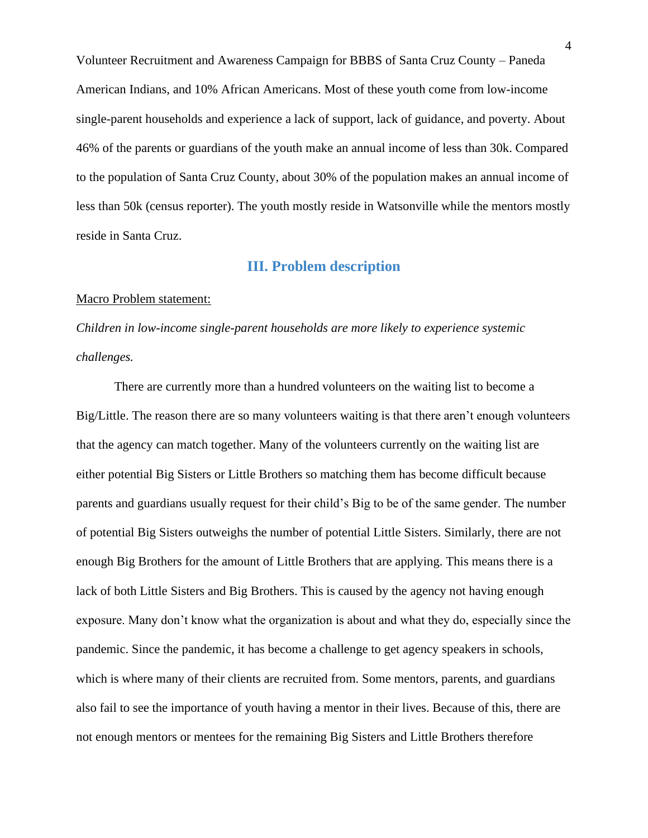Volunteer Recruitment and Awareness Campaign for BBBS of Santa Cruz County – Paneda American Indians, and 10% African Americans. Most of these youth come from low-income single-parent households and experience a lack of support, lack of guidance, and poverty. About 46% of the parents or guardians of the youth make an annual income of less than 30k. Compared to the population of Santa Cruz County, about 30% of the population makes an annual income of less than 50k (census reporter). The youth mostly reside in Watsonville while the mentors mostly reside in Santa Cruz.

# **III. Problem description**

#### Macro Problem statement:

*Children in low-income single-parent households are more likely to experience systemic challenges.*

There are currently more than a hundred volunteers on the waiting list to become a Big/Little. The reason there are so many volunteers waiting is that there aren't enough volunteers that the agency can match together. Many of the volunteers currently on the waiting list are either potential Big Sisters or Little Brothers so matching them has become difficult because parents and guardians usually request for their child's Big to be of the same gender. The number of potential Big Sisters outweighs the number of potential Little Sisters. Similarly, there are not enough Big Brothers for the amount of Little Brothers that are applying. This means there is a lack of both Little Sisters and Big Brothers. This is caused by the agency not having enough exposure. Many don't know what the organization is about and what they do, especially since the pandemic. Since the pandemic, it has become a challenge to get agency speakers in schools, which is where many of their clients are recruited from. Some mentors, parents, and guardians also fail to see the importance of youth having a mentor in their lives. Because of this, there are not enough mentors or mentees for the remaining Big Sisters and Little Brothers therefore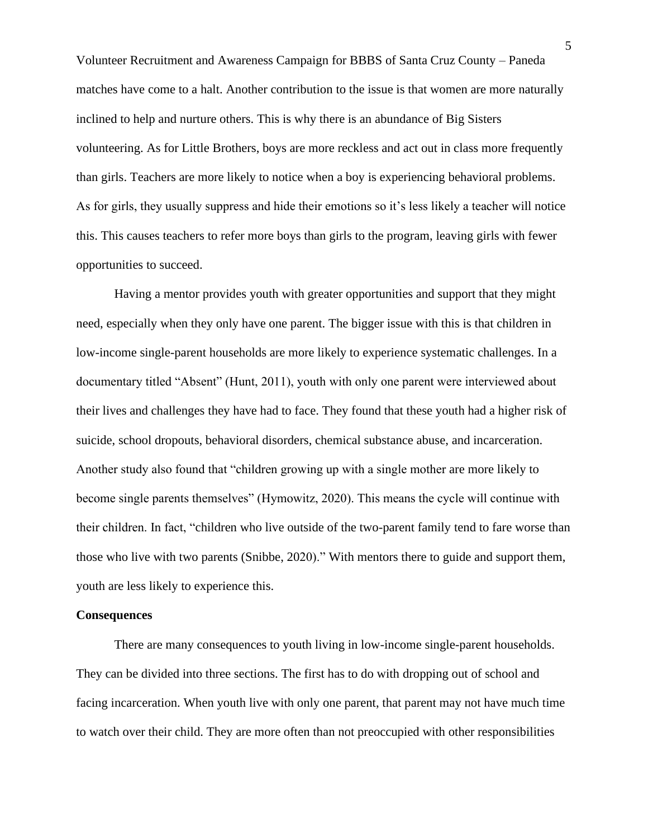Volunteer Recruitment and Awareness Campaign for BBBS of Santa Cruz County – Paneda matches have come to a halt. Another contribution to the issue is that women are more naturally inclined to help and nurture others. This is why there is an abundance of Big Sisters volunteering. As for Little Brothers, boys are more reckless and act out in class more frequently than girls. Teachers are more likely to notice when a boy is experiencing behavioral problems. As for girls, they usually suppress and hide their emotions so it's less likely a teacher will notice this. This causes teachers to refer more boys than girls to the program, leaving girls with fewer opportunities to succeed.

Having a mentor provides youth with greater opportunities and support that they might need, especially when they only have one parent. The bigger issue with this is that children in low-income single-parent households are more likely to experience systematic challenges. In a documentary titled "Absent" (Hunt, 2011), youth with only one parent were interviewed about their lives and challenges they have had to face. They found that these youth had a higher risk of suicide, school dropouts, behavioral disorders, chemical substance abuse, and incarceration. Another study also found that "children growing up with a single mother are more likely to become single parents themselves" (Hymowitz, 2020). This means the cycle will continue with their children. In fact, "children who live outside of the two-parent family tend to fare worse than those who live with two parents (Snibbe, 2020)." With mentors there to guide and support them, youth are less likely to experience this.

#### **Consequences**

There are many consequences to youth living in low-income single-parent households. They can be divided into three sections. The first has to do with dropping out of school and facing incarceration. When youth live with only one parent, that parent may not have much time to watch over their child. They are more often than not preoccupied with other responsibilities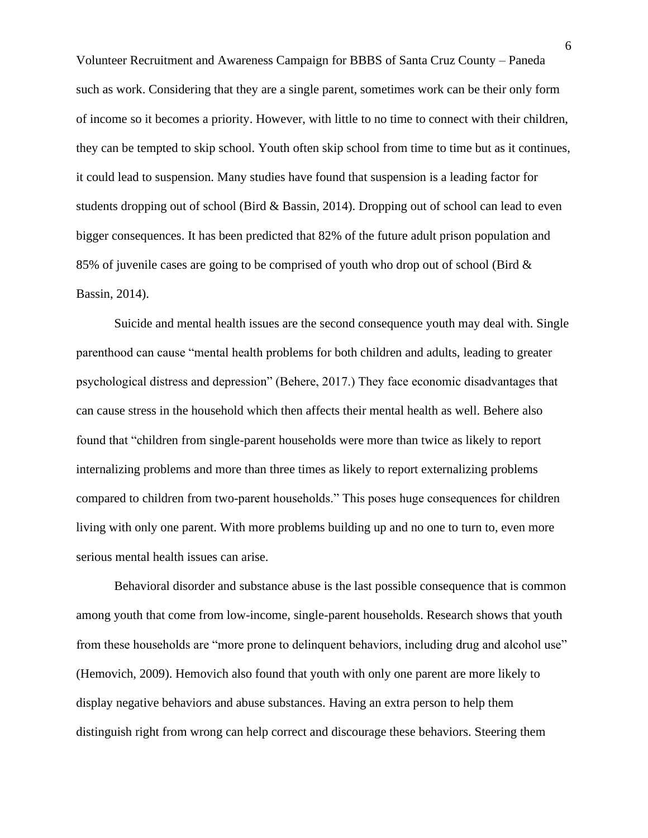Volunteer Recruitment and Awareness Campaign for BBBS of Santa Cruz County – Paneda such as work. Considering that they are a single parent, sometimes work can be their only form of income so it becomes a priority. However, with little to no time to connect with their children, they can be tempted to skip school. Youth often skip school from time to time but as it continues, it could lead to suspension. Many studies have found that suspension is a leading factor for students dropping out of school (Bird & Bassin, 2014). Dropping out of school can lead to even bigger consequences. It has been predicted that 82% of the future adult prison population and 85% of juvenile cases are going to be comprised of youth who drop out of school (Bird & Bassin, 2014).

Suicide and mental health issues are the second consequence youth may deal with. Single parenthood can cause "mental health problems for both children and adults, leading to greater psychological distress and depression" (Behere, 2017.) They face economic disadvantages that can cause stress in the household which then affects their mental health as well. Behere also found that "children from single-parent households were more than twice as likely to report internalizing problems and more than three times as likely to report externalizing problems compared to children from two-parent households." This poses huge consequences for children living with only one parent. With more problems building up and no one to turn to, even more serious mental health issues can arise.

Behavioral disorder and substance abuse is the last possible consequence that is common among youth that come from low-income, single-parent households. Research shows that youth from these households are "more prone to delinquent behaviors, including drug and alcohol use" (Hemovich, 2009). Hemovich also found that youth with only one parent are more likely to display negative behaviors and abuse substances. Having an extra person to help them distinguish right from wrong can help correct and discourage these behaviors. Steering them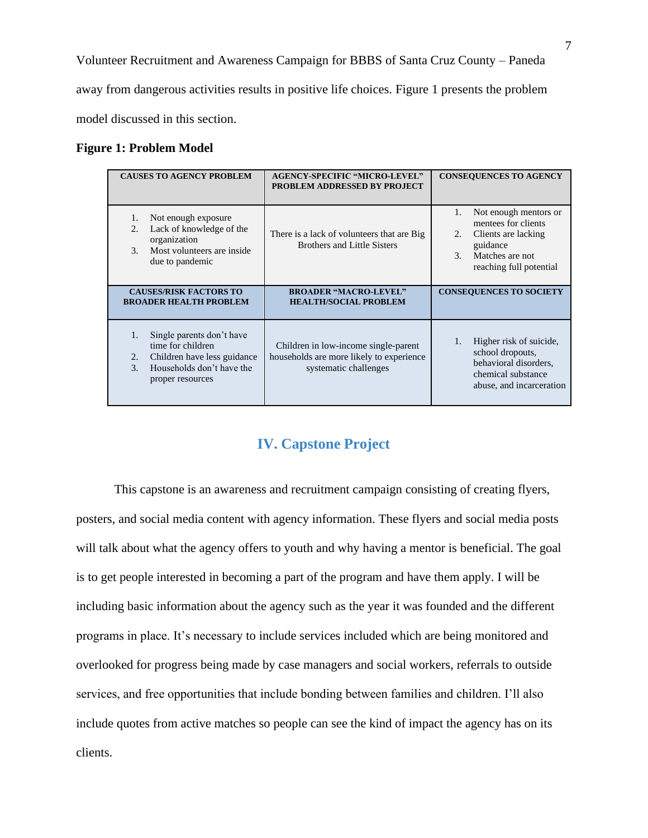Volunteer Recruitment and Awareness Campaign for BBBS of Santa Cruz County – Paneda away from dangerous activities results in positive life choices. Figure 1 presents the problem model discussed in this section.

#### **Figure 1: Problem Model**

| <b>CAUSES TO AGENCY PROBLEM</b>                                                                                                                             | <b>AGENCY-SPECIFIC "MICRO-LEVEL"</b><br>PROBLEM ADDRESSED BY PROJECT                                      | <b>CONSEQUENCES TO AGENCY</b>                                                                                                                               |  |
|-------------------------------------------------------------------------------------------------------------------------------------------------------------|-----------------------------------------------------------------------------------------------------------|-------------------------------------------------------------------------------------------------------------------------------------------------------------|--|
| Not enough exposure<br>1.<br>Lack of knowledge of the<br>2.<br>organization<br>Most volunteers are inside<br>3.<br>due to pandemic                          | There is a lack of volunteers that are Big.<br><b>Brothers and Little Sisters</b>                         | Not enough mentors or<br>1.<br>mentees for clients<br>Clients are lacking<br>2.<br>guidance<br>Matches are not<br>3 <sub>1</sub><br>reaching full potential |  |
| <b>CAUSES/RISK FACTORS TO</b><br><b>BROADER HEALTH PROBLEM</b>                                                                                              | <b>BROADER "MACRO-LEVEL"</b><br><b>HEALTH/SOCIAL PROBLEM</b>                                              | <b>CONSEQUENCES TO SOCIETY</b>                                                                                                                              |  |
| Single parents don't have<br>1.<br>time for children<br>Children have less guidance<br>2.<br>Households don't have the<br>$\mathcal{R}$<br>proper resources | Children in low-income single-parent<br>households are more likely to experience<br>systematic challenges | Higher risk of suicide.<br>1.<br>school dropouts,<br>behavioral disorders,<br>chemical substance<br>abuse, and incarceration                                |  |

# **IV. Capstone Project**

This capstone is an awareness and recruitment campaign consisting of creating flyers, posters, and social media content with agency information. These flyers and social media posts will talk about what the agency offers to youth and why having a mentor is beneficial. The goal is to get people interested in becoming a part of the program and have them apply. I will be including basic information about the agency such as the year it was founded and the different programs in place. It's necessary to include services included which are being monitored and overlooked for progress being made by case managers and social workers, referrals to outside services, and free opportunities that include bonding between families and children. I'll also include quotes from active matches so people can see the kind of impact the agency has on its clients.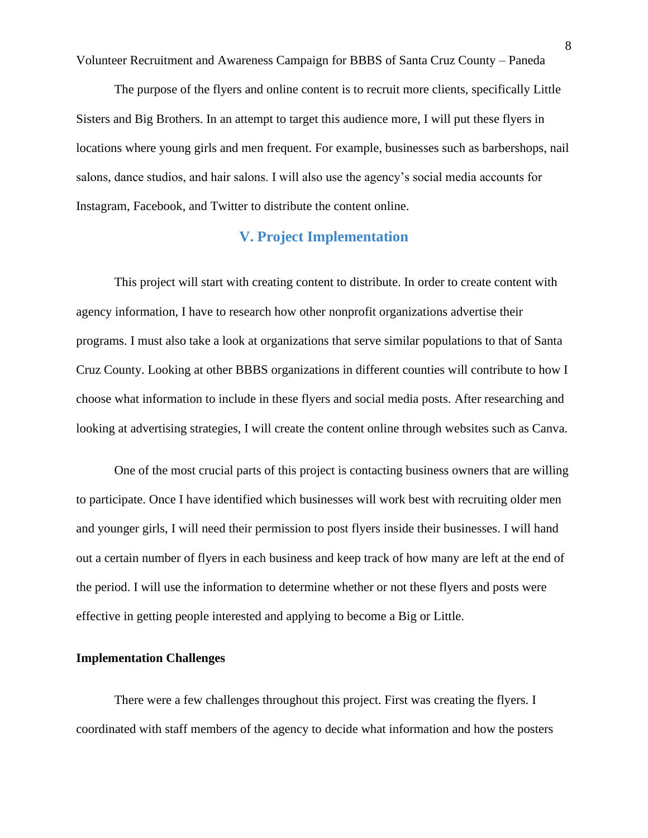The purpose of the flyers and online content is to recruit more clients, specifically Little Sisters and Big Brothers. In an attempt to target this audience more, I will put these flyers in locations where young girls and men frequent. For example, businesses such as barbershops, nail salons, dance studios, and hair salons. I will also use the agency's social media accounts for Instagram, Facebook, and Twitter to distribute the content online.

# **V. Project Implementation**

This project will start with creating content to distribute. In order to create content with agency information, I have to research how other nonprofit organizations advertise their programs. I must also take a look at organizations that serve similar populations to that of Santa Cruz County. Looking at other BBBS organizations in different counties will contribute to how I choose what information to include in these flyers and social media posts. After researching and looking at advertising strategies, I will create the content online through websites such as Canva.

One of the most crucial parts of this project is contacting business owners that are willing to participate. Once I have identified which businesses will work best with recruiting older men and younger girls, I will need their permission to post flyers inside their businesses. I will hand out a certain number of flyers in each business and keep track of how many are left at the end of the period. I will use the information to determine whether or not these flyers and posts were effective in getting people interested and applying to become a Big or Little.

### **Implementation Challenges**

There were a few challenges throughout this project. First was creating the flyers. I coordinated with staff members of the agency to decide what information and how the posters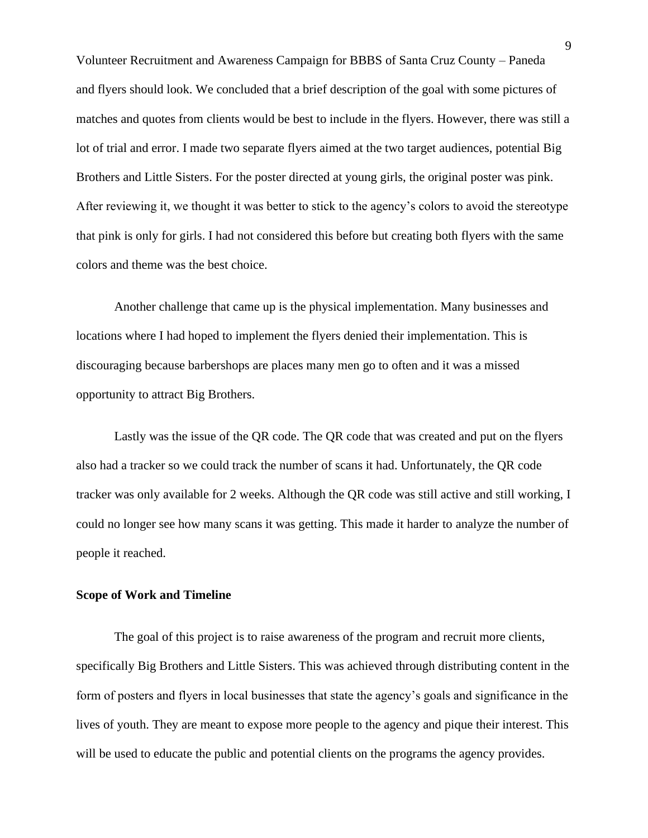Volunteer Recruitment and Awareness Campaign for BBBS of Santa Cruz County – Paneda and flyers should look. We concluded that a brief description of the goal with some pictures of matches and quotes from clients would be best to include in the flyers. However, there was still a lot of trial and error. I made two separate flyers aimed at the two target audiences, potential Big Brothers and Little Sisters. For the poster directed at young girls, the original poster was pink. After reviewing it, we thought it was better to stick to the agency's colors to avoid the stereotype that pink is only for girls. I had not considered this before but creating both flyers with the same colors and theme was the best choice.

Another challenge that came up is the physical implementation. Many businesses and locations where I had hoped to implement the flyers denied their implementation. This is discouraging because barbershops are places many men go to often and it was a missed opportunity to attract Big Brothers.

Lastly was the issue of the QR code. The QR code that was created and put on the flyers also had a tracker so we could track the number of scans it had. Unfortunately, the QR code tracker was only available for 2 weeks. Although the QR code was still active and still working, I could no longer see how many scans it was getting. This made it harder to analyze the number of people it reached.

#### **Scope of Work and Timeline**

The goal of this project is to raise awareness of the program and recruit more clients, specifically Big Brothers and Little Sisters. This was achieved through distributing content in the form of posters and flyers in local businesses that state the agency's goals and significance in the lives of youth. They are meant to expose more people to the agency and pique their interest. This will be used to educate the public and potential clients on the programs the agency provides.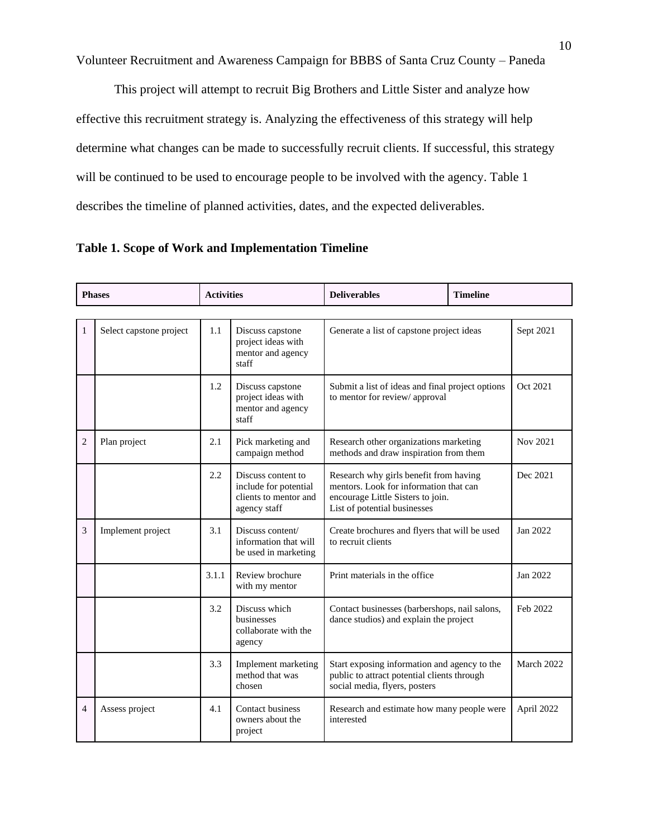This project will attempt to recruit Big Brothers and Little Sister and analyze how effective this recruitment strategy is. Analyzing the effectiveness of this strategy will help determine what changes can be made to successfully recruit clients. If successful, this strategy will be continued to be used to encourage people to be involved with the agency. Table 1 describes the timeline of planned activities, dates, and the expected deliverables.

| <b>Phases</b>  |                         | <b>Activities</b> |                                                                                      | <b>Deliverables</b><br><b>Timeline</b>                                                                                                                |  |            |  |  |
|----------------|-------------------------|-------------------|--------------------------------------------------------------------------------------|-------------------------------------------------------------------------------------------------------------------------------------------------------|--|------------|--|--|
|                |                         |                   |                                                                                      |                                                                                                                                                       |  |            |  |  |
| $\mathbf{1}$   | Select capstone project | 1.1               | Discuss capstone<br>project ideas with<br>mentor and agency<br>staff                 | Generate a list of capstone project ideas                                                                                                             |  | Sept 2021  |  |  |
|                |                         | 1.2               | Discuss capstone<br>project ideas with<br>mentor and agency<br>staff                 | Submit a list of ideas and final project options<br>to mentor for review/approval                                                                     |  | Oct 2021   |  |  |
| $\overline{2}$ | Plan project            | 2.1               | Pick marketing and<br>campaign method                                                | Research other organizations marketing<br>methods and draw inspiration from them                                                                      |  | Nov 2021   |  |  |
|                |                         | 2.2               | Discuss content to<br>include for potential<br>clients to mentor and<br>agency staff | Research why girls benefit from having<br>mentors. Look for information that can<br>encourage Little Sisters to join.<br>List of potential businesses |  | Dec 2021   |  |  |
| 3              | Implement project       | 3.1               | Discuss content/<br>information that will<br>be used in marketing                    | Create brochures and flyers that will be used<br>to recruit clients                                                                                   |  | Jan 2022   |  |  |
|                |                         | 3.1.1             | Review brochure<br>with my mentor                                                    | Print materials in the office                                                                                                                         |  | Jan 2022   |  |  |
|                |                         | 3.2               | Discuss which<br>businesses<br>collaborate with the<br>agency                        | Contact businesses (barbershops, nail salons,<br>dance studios) and explain the project                                                               |  | Feb 2022   |  |  |
|                |                         | 3.3               | Implement marketing<br>method that was<br>chosen                                     | Start exposing information and agency to the<br>public to attract potential clients through<br>social media, flyers, posters                          |  | March 2022 |  |  |
| 4              | Assess project          | 4.1               | Contact business<br>owners about the<br>project                                      | Research and estimate how many people were<br>interested                                                                                              |  | April 2022 |  |  |

**Table 1. Scope of Work and Implementation Timeline**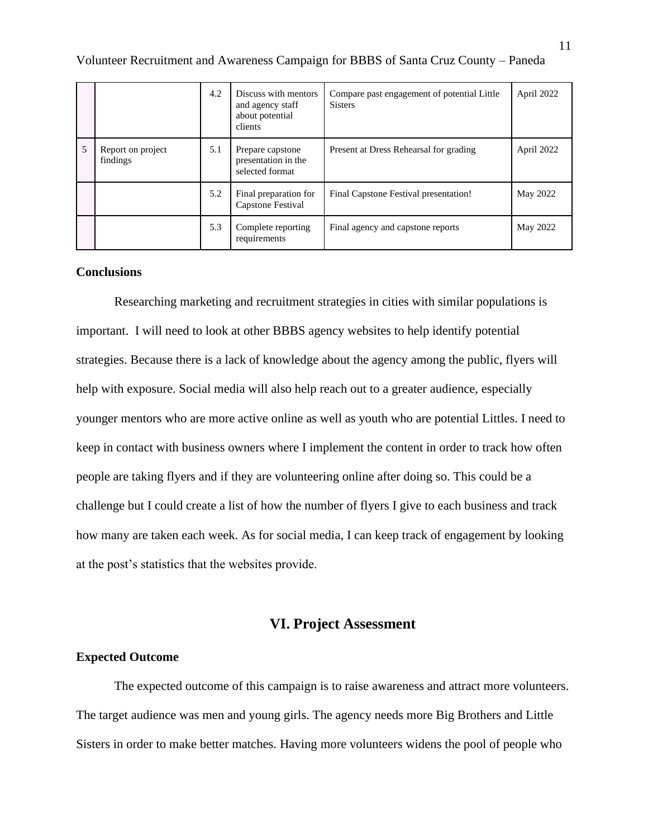|   |                               | 4.2 | Discuss with mentors<br>and agency staff<br>about potential<br>clients | Compare past engagement of potential Little<br><b>Sisters</b> | April 2022 |
|---|-------------------------------|-----|------------------------------------------------------------------------|---------------------------------------------------------------|------------|
| 5 | Report on project<br>findings | 5.1 | Prepare capstone<br>presentation in the<br>selected format             | Present at Dress Rehearsal for grading                        | April 2022 |
|   |                               | 5.2 | Final preparation for<br>Capstone Festival                             | Final Capstone Festival presentation!                         | May 2022   |
|   |                               | 5.3 | Complete reporting<br>requirements                                     | Final agency and capstone reports                             | May 2022   |

### **Conclusions**

Researching marketing and recruitment strategies in cities with similar populations is important. I will need to look at other BBBS agency websites to help identify potential strategies. Because there is a lack of knowledge about the agency among the public, flyers will help with exposure. Social media will also help reach out to a greater audience, especially younger mentors who are more active online as well as youth who are potential Littles. I need to keep in contact with business owners where I implement the content in order to track how often people are taking flyers and if they are volunteering online after doing so. This could be a challenge but I could create a list of how the number of flyers I give to each business and track how many are taken each week. As for social media, I can keep track of engagement by looking at the post's statistics that the websites provide.

# **VI. Project Assessment**

### **Expected Outcome**

The expected outcome of this campaign is to raise awareness and attract more volunteers. The target audience was men and young girls. The agency needs more Big Brothers and Little Sisters in order to make better matches. Having more volunteers widens the pool of people who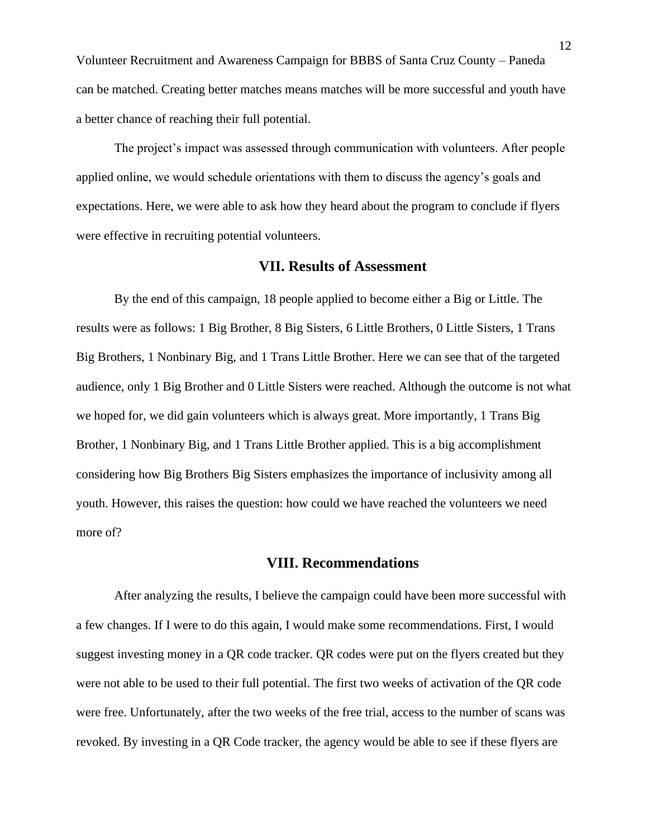Volunteer Recruitment and Awareness Campaign for BBBS of Santa Cruz County – Paneda can be matched. Creating better matches means matches will be more successful and youth have a better chance of reaching their full potential.

The project's impact was assessed through communication with volunteers. After people applied online, we would schedule orientations with them to discuss the agency's goals and expectations. Here, we were able to ask how they heard about the program to conclude if flyers were effective in recruiting potential volunteers.

### **VII. Results of Assessment**

By the end of this campaign, 18 people applied to become either a Big or Little. The results were as follows: 1 Big Brother, 8 Big Sisters, 6 Little Brothers, 0 Little Sisters, 1 Trans Big Brothers, 1 Nonbinary Big, and 1 Trans Little Brother. Here we can see that of the targeted audience, only 1 Big Brother and 0 Little Sisters were reached. Although the outcome is not what we hoped for, we did gain volunteers which is always great. More importantly, 1 Trans Big Brother, 1 Nonbinary Big, and 1 Trans Little Brother applied. This is a big accomplishment considering how Big Brothers Big Sisters emphasizes the importance of inclusivity among all youth. However, this raises the question: how could we have reached the volunteers we need more of?

# **VIII. Recommendations**

After analyzing the results, I believe the campaign could have been more successful with a few changes. If I were to do this again, I would make some recommendations. First, I would suggest investing money in a QR code tracker. QR codes were put on the flyers created but they were not able to be used to their full potential. The first two weeks of activation of the QR code were free. Unfortunately, after the two weeks of the free trial, access to the number of scans was revoked. By investing in a QR Code tracker, the agency would be able to see if these flyers are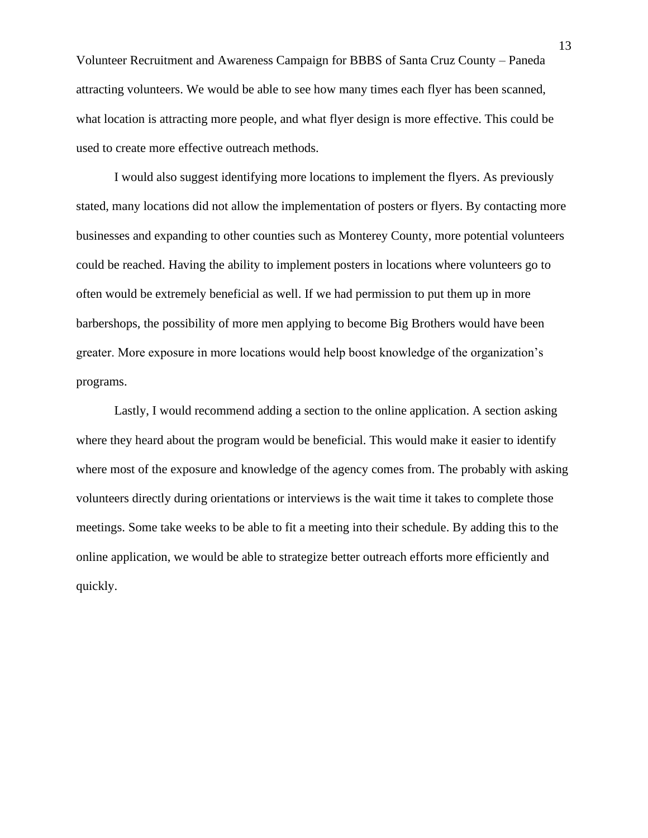Volunteer Recruitment and Awareness Campaign for BBBS of Santa Cruz County – Paneda attracting volunteers. We would be able to see how many times each flyer has been scanned, what location is attracting more people, and what flyer design is more effective. This could be used to create more effective outreach methods.

I would also suggest identifying more locations to implement the flyers. As previously stated, many locations did not allow the implementation of posters or flyers. By contacting more businesses and expanding to other counties such as Monterey County, more potential volunteers could be reached. Having the ability to implement posters in locations where volunteers go to often would be extremely beneficial as well. If we had permission to put them up in more barbershops, the possibility of more men applying to become Big Brothers would have been greater. More exposure in more locations would help boost knowledge of the organization's programs.

Lastly, I would recommend adding a section to the online application. A section asking where they heard about the program would be beneficial. This would make it easier to identify where most of the exposure and knowledge of the agency comes from. The probably with asking volunteers directly during orientations or interviews is the wait time it takes to complete those meetings. Some take weeks to be able to fit a meeting into their schedule. By adding this to the online application, we would be able to strategize better outreach efforts more efficiently and quickly.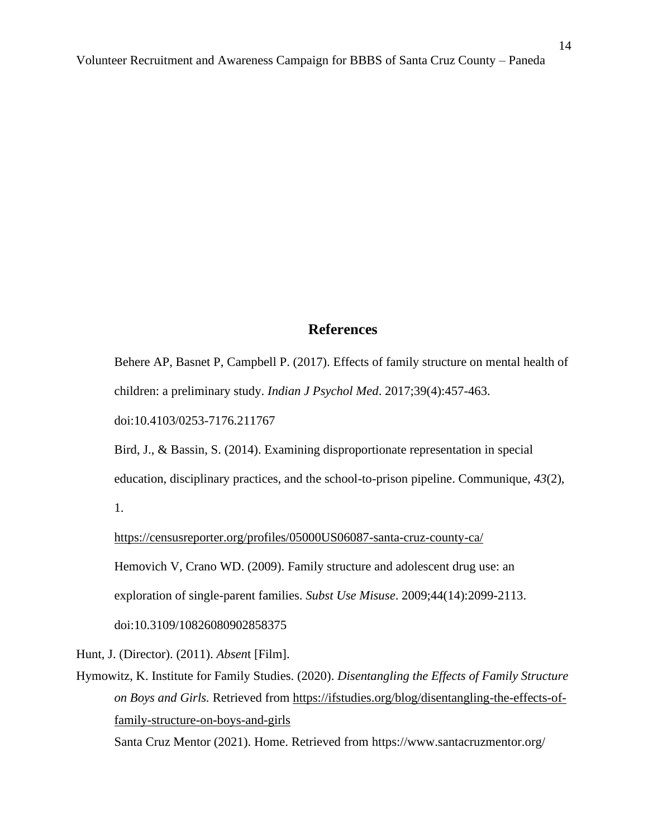### **References**

Behere AP, Basnet P, Campbell P. (2017). Effects of family structure on mental health of children: a preliminary study. *Indian J Psychol Med*. 2017;39(4):457-463.

doi:10.4103/0253-7176.211767

[Bird, J., & Bassin, S. \(2014\). Examining disproportionate representation in special](https://csumb-primo.hosted.exlibrisgroup.com/permalink/f/1fr4rog/TN_gale_ofa392900980)  [education, disciplinary practices, and the school-to-prison pipeline. Communique,](https://csumb-primo.hosted.exlibrisgroup.com/permalink/f/1fr4rog/TN_gale_ofa392900980) *[43](https://csumb-primo.hosted.exlibrisgroup.com/permalink/f/1fr4rog/TN_gale_ofa392900980)*[\(2\),](https://csumb-primo.hosted.exlibrisgroup.com/permalink/f/1fr4rog/TN_gale_ofa392900980)  [1.](https://csumb-primo.hosted.exlibrisgroup.com/permalink/f/1fr4rog/TN_gale_ofa392900980)

<https://censusreporter.org/profiles/05000US06087-santa-cruz-county-ca/>

Hemovich V, Crano WD. (2009). Family structure and adolescent drug use: an

exploration of single-parent families. *Subst Use Misuse*. 2009;44(14):2099-2113.

doi:10.3109/10826080902858375

Hunt, J. (Director). (2011). *Absen*t [Film].

Hymowitz, K. Institute for Family Studies. (2020). *Disentangling the Effects of Family Structure on Boys and Girls.* Retrieved from [https://ifstudies.org/blog/disentangling-the-effects-of](https://ifstudies.org/blog/disentangling-the-effects-of-family-structure-on-boys-and-girls)[family-structure-on-boys-and-girls](https://ifstudies.org/blog/disentangling-the-effects-of-family-structure-on-boys-and-girls)

Santa Cruz Mentor (2021). Home. Retrieved from https://www.santacruzmentor.org/